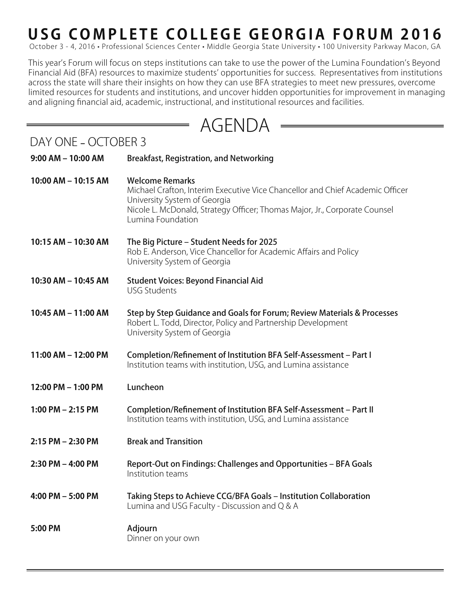## **USG COMPLETE COLLEGE GEORGIA FORUM 2016**

October 3 - 4, 2016 • Professional Sciences Center • Middle Georgia State University • 100 University Parkway Macon, GA

This year's Forum will focus on steps institutions can take to use the power of the Lumina Foundation's Beyond Financial Aid (BFA) resources to maximize students' opportunities for success. Representatives from institutions across the state will share their insights on how they can use BFA strategies to meet new pressures, overcome limited resources for students and institutions, and uncover hidden opportunities for improvement in managing and aligning financial aid, academic, instructional, and institutional resources and facilities.

## AGENDA

 $\equiv$ 

DAY ONE **–** OCTOBER 3

| $9:00$ AM $-$ 10:00 AM | <b>Breakfast, Registration, and Networking</b>                                                                                                                                                                                             |
|------------------------|--------------------------------------------------------------------------------------------------------------------------------------------------------------------------------------------------------------------------------------------|
| 10:00 AM - 10:15 AM    | <b>Welcome Remarks</b><br>Michael Crafton, Interim Executive Vice Chancellor and Chief Academic Officer<br>University System of Georgia<br>Nicole L. McDonald, Strategy Officer; Thomas Major, Jr., Corporate Counsel<br>Lumina Foundation |
| 10:15 AM - 10:30 AM    | The Big Picture – Student Needs for 2025<br>Rob E. Anderson, Vice Chancellor for Academic Affairs and Policy<br>University System of Georgia                                                                                               |
| 10:30 AM - 10:45 AM    | <b>Student Voices: Beyond Financial Aid</b><br><b>USG Students</b>                                                                                                                                                                         |
| 10:45 AM - 11:00 AM    | Step by Step Guidance and Goals for Forum; Review Materials & Processes<br>Robert L. Todd, Director, Policy and Partnership Development<br>University System of Georgia                                                                    |
| 11:00 AM - 12:00 PM    | Completion/Refinement of Institution BFA Self-Assessment - Part I<br>Institution teams with institution, USG, and Lumina assistance                                                                                                        |
| 12:00 PM - 1:00 PM     | Luncheon                                                                                                                                                                                                                                   |
| 1:00 PM $-$ 2:15 PM    | Completion/Refinement of Institution BFA Self-Assessment - Part II<br>Institution teams with institution, USG, and Lumina assistance                                                                                                       |
| $2:15$ PM $- 2:30$ PM  | <b>Break and Transition</b>                                                                                                                                                                                                                |
| $2:30$ PM $-$ 4:00 PM  | Report-Out on Findings: Challenges and Opportunities – BFA Goals<br>Institution teams                                                                                                                                                      |
| 4:00 PM - 5:00 PM      | Taking Steps to Achieve CCG/BFA Goals - Institution Collaboration<br>Lumina and USG Faculty - Discussion and Q & A                                                                                                                         |
| 5:00 PM                | Adjourn<br>Dinner on your own                                                                                                                                                                                                              |